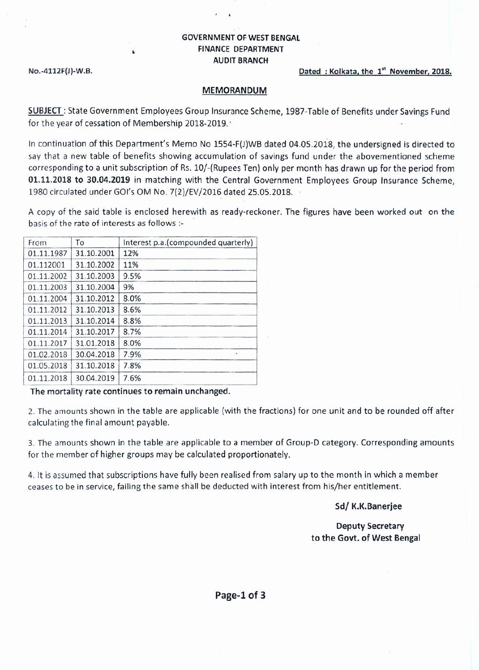### GOVERNMENT OF WEST BENGAL FINANCE DEPARTMENT AUDIT BRANCH

 $\lambda$ 

#### No.-4112F(J)-W.B. 2018.

#### MEMORANDUM

SUBJECT: State Government Employees Group Insurance Scheme, 1987-Table of Benefits under Savings Fund for the year of cessation of Membership 2018-2019.'

In continuation of this Department's Memo No 1SS4-F(J)WB dated 04.05.2018, the undersigned is directed to say that a new table of benefits showing accumulation of savings fund under the abovementioned scheme corresponding to a unit subscription of Rs. 10/-(Rupees Ten) only per month has drawn up for the period from 01.11.2018 to 30.04.2019 in matching with the Central Government Employees Group Insurance Scheme, 1980 circulated under GOl's OM No. 7(2)/EV/2016 dated 25.05.2018.

A copy of the said table is enclosed herewith as ready-reckoner. The figures have been worked out on the basis of the rate of interests as follows :-

| From       | To         | Interest p.a.(compounded quarterly) |  |  |  |  |
|------------|------------|-------------------------------------|--|--|--|--|
| 01.11.1987 | 31.10.2001 | 12%                                 |  |  |  |  |
| 01.112001  | 31.10.2002 | 11%                                 |  |  |  |  |
| 01.11.2002 | 31.10.2003 | 9.5%                                |  |  |  |  |
| 01.11.2003 | 31.10.2004 | 9%                                  |  |  |  |  |
| 01.11.2004 | 31.10.2012 | 8.0%                                |  |  |  |  |
| 01.11.2012 | 31.10.2013 | 8.6%                                |  |  |  |  |
| 01.11.2013 | 31.10.2014 | 8.8%                                |  |  |  |  |
| 01.11.2014 | 31.10.2017 | 8.7%                                |  |  |  |  |
| 01.11.2017 | 31.01.2018 | 8.0%                                |  |  |  |  |
| 01.02.2018 | 30.04.2018 | 7.9%<br>1997                        |  |  |  |  |
| 01.05.2018 | 31.10.2018 | 7.8%                                |  |  |  |  |
| 01.11.2018 | 30.04.2019 | 7.6%                                |  |  |  |  |

.\_. \_\_ ••••• ¥ --\_..... ------ The mortality rate continues to remain unchanged.

2. The amounts shown in the table are applicable (with the fractions) for one unit and to be rounded off after calculating the final amount payable.

3. The amounts shown in the table are applicable to a member of Group-D category. Corresponding amounts for the member of higher groups may be calculated proportionately.

4. It is assumed that subscriptions have fully been realised from salary up to the month in which a member ceases to be in service, failing the same shall be deducted with interest from his/her entitlement.

Sd/ K.K.Banerjee

Deputy Secretary to the Govt. of West Bengal

Page-l of 3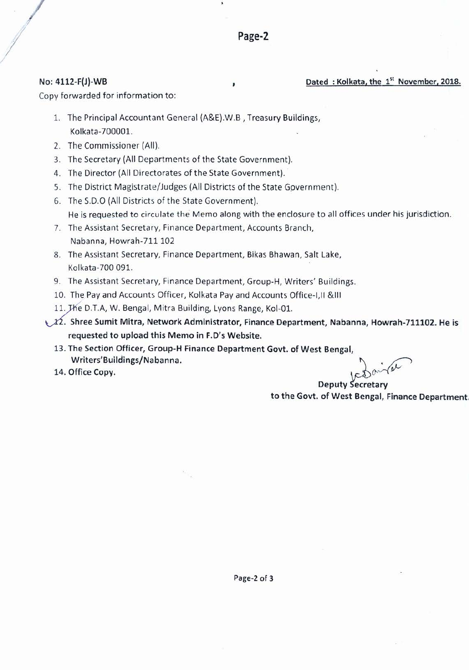#### No: 4112-F(J)-WB

*I*

## Dated: Kolkata, the 1<sup>st</sup> November, 2018.

Copy forwarded for information to:

- l. The Principal Accountant General (A&E).W.B , Treasury Buildings, Kolkata-700001.
- 2. The Commissioner (All).
- 3. The Secretary (All Departments of the State Government).
- 4. The Director (All Directorates of the State Government).
- 5. The District Magistrate/Judges (All Districts of the State Government).
- 6. The S.D.O (All Districts of the State Government). He is requested to circulate the Memo along with the enclosure to all offices under his jurisdiction.
- 7. The Assistant Secretary, Finance Department, Accounts Branch, Nabanna, Howrah-711 102
- 8. The Assistant Secretary, Finance Department, Bikas Bhawan, Salt Lake, Kolkata-700 091.
- 9. The Assistant Secretary, Finance Department, Group-H. Writers' Buildings.
- 10. The Pay and Accounts Officer, Kolkata Pay and Accounts Office-I,ll &111
- 11. Jhe D.T.A, W. Bengal, Mitra Building, Lyons Range, Kol-01.

 $\chi$   $\chi$ 2. Shree Sumit Mitra, Network Administrator, Finance Department, Nabanna, Howrah-711102. He is requested to upload this Memo in F.D's Website.

- 13. The Section Officer, Group-H Finance Department Govt. of West Bengal, Writers'Buildings/Nabanna.
- 14. Office Copy.

Deputy Secretary to the Govt. of West Bengal, Finance Department.